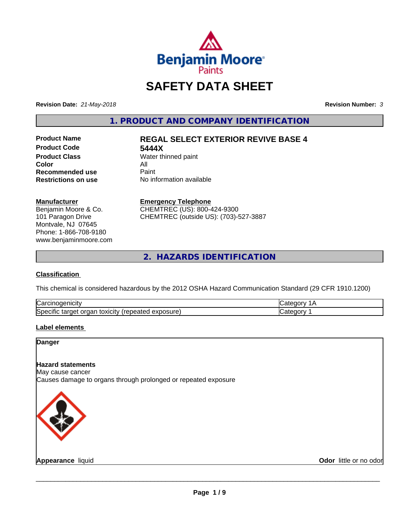

# **SAFETY DATA SHEET**

**Revision Date:** *21-May-2018* **Revision Number:** *3*

**1. PRODUCT AND COMPANY IDENTIFICATION**

**Product Code 5444X**<br>**Product Class** Water the Water th **Product Class** Water thinned paint<br> **Color Color** All **Recommended use** Paint<br> **Restrictions on use** No inf

# **Product Name REGAL SELECT EXTERIOR REVIVE BASE 4**

**No information available** 

# **Manufacturer**

Benjamin Moore & Co. 101 Paragon Drive Montvale, NJ 07645 Phone: 1-866-708-9180 www.benjaminmoore.com

# **Emergency Telephone**

CHEMTREC (US): 800-424-9300 CHEMTREC (outside US): (703)-527-3887

**2. HAZARDS IDENTIFICATION**

# **Classification**

This chemical is considered hazardous by the 2012 OSHA Hazard Communication Standard (29 CFR 1910.1200)

| ∽<br>.<br>$\mathbf{a}$ . The space of $\mathbf{a}$<br>,⊖ar<br>пісн<br>$\sim$ at RN $^{12}$                 | ---- |
|------------------------------------------------------------------------------------------------------------|------|
| . .<br>exposure<br>. .<br>toxicity<br>l2Deq<br>CITIO<br>ordar<br>targer<br>- אדב<br>د ،<br>.Salcu<br>GAUL. | ---- |

# **Label elements**

# **Danger**

# **Hazard statements**

May cause cancer

Causes damage to organs through prolonged or repeated exposure



**Appearance** liquid **Contract Contract Contract Contract Contract Contract Contract Contract Contract Contract Contract Contract Contract Contract Contract Contract Contract Contract Contract Contract Contract Contract Con**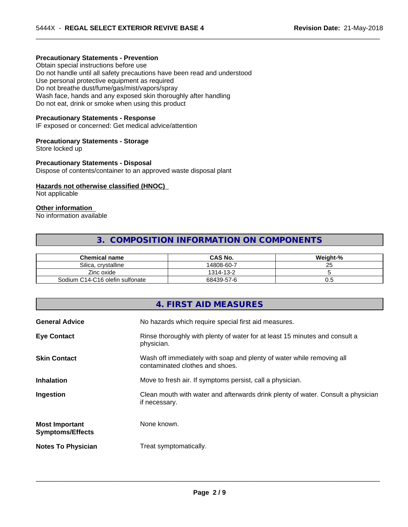# **Precautionary Statements - Prevention**

Obtain special instructions before use Do not handle until all safety precautions have been read and understood Use personal protective equipment as required Do not breathe dust/fume/gas/mist/vapors/spray Wash face, hands and any exposed skin thoroughly after handling Do not eat, drink or smoke when using this product

### **Precautionary Statements - Response**

IF exposed or concerned: Get medical advice/attention

### **Precautionary Statements - Storage**

Store locked up

#### **Precautionary Statements - Disposal**

Dispose of contents/container to an approved waste disposal plant

# **Hazards not otherwise classified (HNOC)**

Not applicable

# **Other information**

No information available

# **3. COMPOSITION INFORMATION ON COMPONENTS**

 $\overline{\phantom{a}}$  ,  $\overline{\phantom{a}}$  ,  $\overline{\phantom{a}}$  ,  $\overline{\phantom{a}}$  ,  $\overline{\phantom{a}}$  ,  $\overline{\phantom{a}}$  ,  $\overline{\phantom{a}}$  ,  $\overline{\phantom{a}}$  ,  $\overline{\phantom{a}}$  ,  $\overline{\phantom{a}}$  ,  $\overline{\phantom{a}}$  ,  $\overline{\phantom{a}}$  ,  $\overline{\phantom{a}}$  ,  $\overline{\phantom{a}}$  ,  $\overline{\phantom{a}}$  ,  $\overline{\phantom{a}}$ 

| <b>Chemical name</b>            | <b>CAS No.</b> | Weight-% |
|---------------------------------|----------------|----------|
| Silica<br>. crvstalline         | 14808-60-7     | ້        |
| Zinc oxide                      | 1314-13-2      |          |
| Sodium C14-C16 olefin sulfonate | 68439-57-6     | v.J      |

|                                                  | 4. FIRST AID MEASURES                                                                                    |
|--------------------------------------------------|----------------------------------------------------------------------------------------------------------|
| <b>General Advice</b>                            | No hazards which require special first aid measures.                                                     |
| <b>Eye Contact</b>                               | Rinse thoroughly with plenty of water for at least 15 minutes and consult a<br>physician.                |
| <b>Skin Contact</b>                              | Wash off immediately with soap and plenty of water while removing all<br>contaminated clothes and shoes. |
| <b>Inhalation</b>                                | Move to fresh air. If symptoms persist, call a physician.                                                |
| Ingestion                                        | Clean mouth with water and afterwards drink plenty of water. Consult a physician<br>if necessary.        |
| <b>Most Important</b><br><b>Symptoms/Effects</b> | None known.                                                                                              |
| <b>Notes To Physician</b>                        | Treat symptomatically.                                                                                   |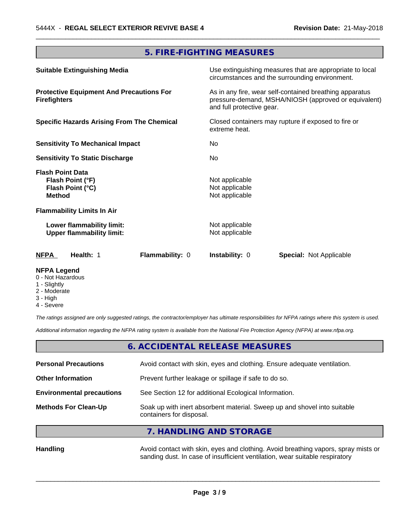# **5. FIRE-FIGHTING MEASURES**

 $\overline{\phantom{a}}$  ,  $\overline{\phantom{a}}$  ,  $\overline{\phantom{a}}$  ,  $\overline{\phantom{a}}$  ,  $\overline{\phantom{a}}$  ,  $\overline{\phantom{a}}$  ,  $\overline{\phantom{a}}$  ,  $\overline{\phantom{a}}$  ,  $\overline{\phantom{a}}$  ,  $\overline{\phantom{a}}$  ,  $\overline{\phantom{a}}$  ,  $\overline{\phantom{a}}$  ,  $\overline{\phantom{a}}$  ,  $\overline{\phantom{a}}$  ,  $\overline{\phantom{a}}$  ,  $\overline{\phantom{a}}$ 

| <b>Suitable Extinguishing Media</b>                                              | Use extinguishing measures that are appropriate to local<br>circumstances and the surrounding environment.                                   |
|----------------------------------------------------------------------------------|----------------------------------------------------------------------------------------------------------------------------------------------|
| <b>Protective Equipment And Precautions For</b><br><b>Firefighters</b>           | As in any fire, wear self-contained breathing apparatus<br>pressure-demand, MSHA/NIOSH (approved or equivalent)<br>and full protective gear. |
| <b>Specific Hazards Arising From The Chemical</b>                                | Closed containers may rupture if exposed to fire or<br>extreme heat.                                                                         |
| <b>Sensitivity To Mechanical Impact</b>                                          | No                                                                                                                                           |
| <b>Sensitivity To Static Discharge</b>                                           | No.                                                                                                                                          |
| <b>Flash Point Data</b><br>Flash Point (°F)<br>Flash Point (°C)<br><b>Method</b> | Not applicable<br>Not applicable<br>Not applicable                                                                                           |
| <b>Flammability Limits In Air</b>                                                |                                                                                                                                              |
| Lower flammability limit:<br><b>Upper flammability limit:</b>                    | Not applicable<br>Not applicable                                                                                                             |
| <b>NFPA</b><br>Flammability: 0<br>Health: 1                                      | <b>Instability: 0</b><br><b>Special:</b> Not Applicable                                                                                      |

# **NFPA Legend**

- 0 Not Hazardous
- 1 Slightly
- 2 Moderate
- 3 High
- 4 Severe

*The ratings assigned are only suggested ratings, the contractor/employer has ultimate responsibilities for NFPA ratings where this system is used.*

*Additional information regarding the NFPA rating system is available from the National Fire Protection Agency (NFPA) at www.nfpa.org.*

# **6. ACCIDENTAL RELEASE MEASURES**

| <b>Personal Precautions</b>      | Avoid contact with skin, eyes and clothing. Ensure adequate ventilation.                             |  |
|----------------------------------|------------------------------------------------------------------------------------------------------|--|
| <b>Other Information</b>         | Prevent further leakage or spillage if safe to do so.                                                |  |
| <b>Environmental precautions</b> | See Section 12 for additional Ecological Information.                                                |  |
| <b>Methods For Clean-Up</b>      | Soak up with inert absorbent material. Sweep up and shovel into suitable<br>containers for disposal. |  |
|                                  | 7. HANDLING AND STORAGE                                                                              |  |

Handling **Handling Avoid contact with skin, eyes and clothing. Avoid breathing vapors, spray mists or** sanding dust. In case of insufficient ventilation, wear suitable respiratory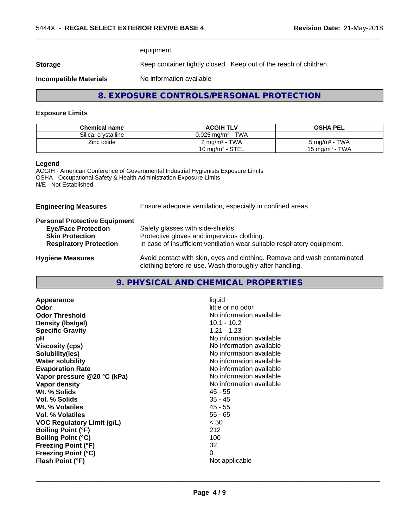equipment.

**Storage** Keep container tightly closed. Keep out of the reach of children.

**Incompatible Materials** No information available

# **8. EXPOSURE CONTROLS/PERSONAL PROTECTION**

 $\overline{\phantom{a}}$  ,  $\overline{\phantom{a}}$  ,  $\overline{\phantom{a}}$  ,  $\overline{\phantom{a}}$  ,  $\overline{\phantom{a}}$  ,  $\overline{\phantom{a}}$  ,  $\overline{\phantom{a}}$  ,  $\overline{\phantom{a}}$  ,  $\overline{\phantom{a}}$  ,  $\overline{\phantom{a}}$  ,  $\overline{\phantom{a}}$  ,  $\overline{\phantom{a}}$  ,  $\overline{\phantom{a}}$  ,  $\overline{\phantom{a}}$  ,  $\overline{\phantom{a}}$  ,  $\overline{\phantom{a}}$ 

### **Exposure Limits**

| <b>Chemical name</b> | <b>ACGIH TLV</b>                | <b>OSHA PEL</b>           |
|----------------------|---------------------------------|---------------------------|
| Silica, crystalline  | $0.025$ mg/m <sup>3</sup> - TWA |                           |
| Zinc oxide           | $2 \text{ mg/m}^3$ - TWA        | $5 \text{ mg/m}^3$ - TWA  |
|                      | $10 \text{ mg/m}^3$ - STEL      | $15 \text{ ma/m}^3$ - TWA |

# **Legend**

ACGIH - American Conference of Governmental Industrial Hygienists Exposure Limits OSHA - Occupational Safety & Health Administration Exposure Limits N/E - Not Established

| <b>Engineering Measures</b>          | Ensure adequate ventilation, especially in confined areas.                                                                          |
|--------------------------------------|-------------------------------------------------------------------------------------------------------------------------------------|
| <b>Personal Protective Equipment</b> |                                                                                                                                     |
| <b>Eye/Face Protection</b>           | Safety glasses with side-shields.                                                                                                   |
| <b>Skin Protection</b>               | Protective gloves and impervious clothing.                                                                                          |
| <b>Respiratory Protection</b>        | In case of insufficient ventilation wear suitable respiratory equipment.                                                            |
| <b>Hygiene Measures</b>              | Avoid contact with skin, eyes and clothing. Remove and wash contaminated<br>clothing before re-use. Wash thoroughly after handling. |

# **9. PHYSICAL AND CHEMICAL PROPERTIES**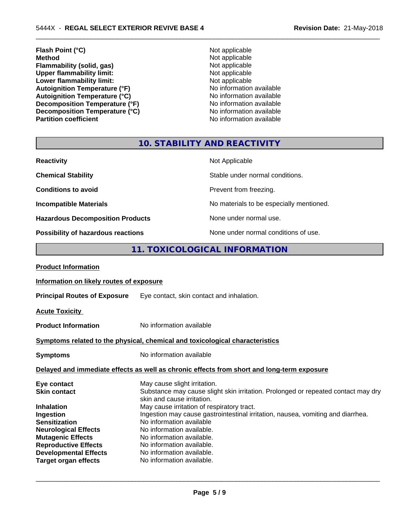- **Flash Point (°C)** Not applicable **Method** Not applicable<br> **Flammability (solid, gas)** Not applicable Not applicable **Flammability (solid, gas)** Not applicable<br>
Upper flammability limit:<br>
Not applicable<br>
Not applicable **Upper flammability limit:**<br> **Lower flammability limit:**<br>
Not applicable<br>
Not applicable **Lower flammability limit:**<br> **Autoignition Temperature (°F)**<br>
Mo information available Autoignition Temperature (°F)<br>
Autoignition Temperature (°C)<br>
No information available Autoignition Temperature (°C)<br>
Decomposition Temperature (°F)<br>
No information available **Decomposition Temperature (°F)**<br> **Decomposition Temperature (°C)** No information available<br>
No information available **Decomposition Temperature (°C)**<br>Partition coefficient
	- **No information available**

 $\overline{\phantom{a}}$  ,  $\overline{\phantom{a}}$  ,  $\overline{\phantom{a}}$  ,  $\overline{\phantom{a}}$  ,  $\overline{\phantom{a}}$  ,  $\overline{\phantom{a}}$  ,  $\overline{\phantom{a}}$  ,  $\overline{\phantom{a}}$  ,  $\overline{\phantom{a}}$  ,  $\overline{\phantom{a}}$  ,  $\overline{\phantom{a}}$  ,  $\overline{\phantom{a}}$  ,  $\overline{\phantom{a}}$  ,  $\overline{\phantom{a}}$  ,  $\overline{\phantom{a}}$  ,  $\overline{\phantom{a}}$ 

# **10. STABILITY AND REACTIVITY**

| <b>Reactivity</b>                         | Not Applicable                           |
|-------------------------------------------|------------------------------------------|
| <b>Chemical Stability</b>                 | Stable under normal conditions.          |
| <b>Conditions to avoid</b>                | Prevent from freezing.                   |
| <b>Incompatible Materials</b>             | No materials to be especially mentioned. |
| <b>Hazardous Decomposition Products</b>   | None under normal use.                   |
| <b>Possibility of hazardous reactions</b> | None under normal conditions of use.     |

# **11. TOXICOLOGICAL INFORMATION**

| Information on likely routes of exposure                                                                                                                                                                                                                                                                   |
|------------------------------------------------------------------------------------------------------------------------------------------------------------------------------------------------------------------------------------------------------------------------------------------------------------|
| Eye contact, skin contact and inhalation.                                                                                                                                                                                                                                                                  |
|                                                                                                                                                                                                                                                                                                            |
| No information available                                                                                                                                                                                                                                                                                   |
| Symptoms related to the physical, chemical and toxicological characteristics                                                                                                                                                                                                                               |
| No information available                                                                                                                                                                                                                                                                                   |
| Delayed and immediate effects as well as chronic effects from short and long-term exposure                                                                                                                                                                                                                 |
| May cause slight irritation.<br>Substance may cause slight skin irritation. Prolonged or repeated contact may dry<br>skin and cause irritation.                                                                                                                                                            |
| May cause irritation of respiratory tract.<br>Ingestion may cause gastrointestinal irritation, nausea, vomiting and diarrhea.<br>No information available<br>No information available.<br>No information available.<br>No information available.<br>No information available.<br>No information available. |
|                                                                                                                                                                                                                                                                                                            |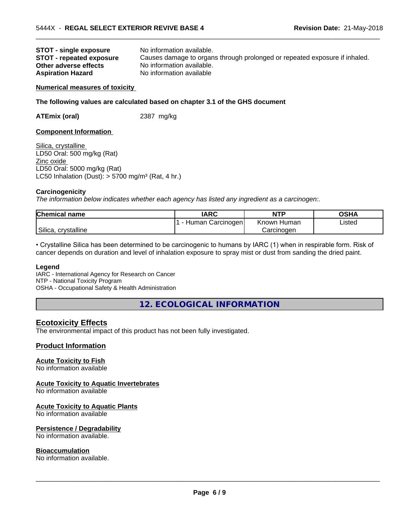| <b>STOT - single exposure</b>   | No information available.                                                  |
|---------------------------------|----------------------------------------------------------------------------|
| <b>STOT - repeated exposure</b> | Causes damage to organs through prolonged or repeated exposure if inhaled. |
| Other adverse effects           | No information available.                                                  |
| <b>Aspiration Hazard</b>        | No information available                                                   |

 $\overline{\phantom{a}}$  ,  $\overline{\phantom{a}}$  ,  $\overline{\phantom{a}}$  ,  $\overline{\phantom{a}}$  ,  $\overline{\phantom{a}}$  ,  $\overline{\phantom{a}}$  ,  $\overline{\phantom{a}}$  ,  $\overline{\phantom{a}}$  ,  $\overline{\phantom{a}}$  ,  $\overline{\phantom{a}}$  ,  $\overline{\phantom{a}}$  ,  $\overline{\phantom{a}}$  ,  $\overline{\phantom{a}}$  ,  $\overline{\phantom{a}}$  ,  $\overline{\phantom{a}}$  ,  $\overline{\phantom{a}}$ 

#### **Numerical measures of toxicity**

#### **The following values are calculated based on chapter 3.1 of the GHS document**

**ATEmix (oral)** 2387 mg/kg

#### **Component Information**

Silica, crystalline LD50 Oral: 500 mg/kg (Rat) Zinc oxide LD50 Oral: 5000 mg/kg (Rat) LC50 Inhalation (Dust):  $> 5700$  mg/m<sup>3</sup> (Rat, 4 hr.)

#### **Carcinogenicity**

*The information below indicateswhether each agency has listed any ingredient as a carcinogen:.*

| <b>Chemical name</b>   | <b>IARC</b>            | <b>NTP</b>     | OSHA   |
|------------------------|------------------------|----------------|--------|
|                        | Human Carcinogenl<br>- | Known<br>Human | Listed |
| Silica,<br>crvstalline |                        | Carcinoɑen     |        |

• Crystalline Silica has been determined to be carcinogenic to humans by IARC (1) when in respirable form. Risk of cancer depends on duration and level of inhalation exposure to spray mist or dust from sanding the dried paint.

#### **Legend**

IARC - International Agency for Research on Cancer NTP - National Toxicity Program OSHA - Occupational Safety & Health Administration

**12. ECOLOGICAL INFORMATION**

# **Ecotoxicity Effects**

The environmental impact of this product has not been fully investigated.

# **Product Information**

# **Acute Toxicity to Fish**

No information available

# **Acute Toxicity to Aquatic Invertebrates**

No information available

#### **Acute Toxicity to Aquatic Plants**

No information available

#### **Persistence / Degradability**

No information available.

#### **Bioaccumulation**

No information available.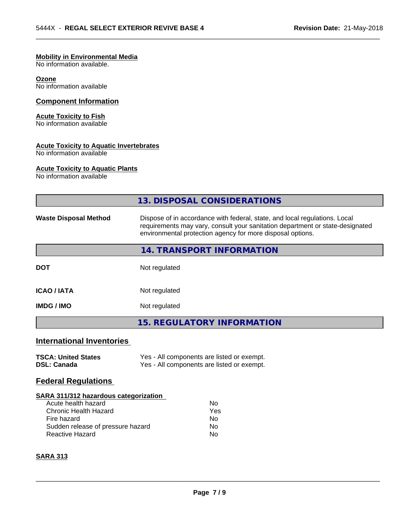# **Mobility in Environmental Media**

No information available.

#### **Ozone**

No information available

# **Component Information**

# **Acute Toxicity to Fish**

No information available

# **Acute Toxicity to Aquatic Invertebrates**

No information available

# **Acute Toxicity to Aquatic Plants**

No information available

|                                                                                                                                   | 13. DISPOSAL CONSIDERATIONS                                                                                                                                                                                               |  |  |
|-----------------------------------------------------------------------------------------------------------------------------------|---------------------------------------------------------------------------------------------------------------------------------------------------------------------------------------------------------------------------|--|--|
| <b>Waste Disposal Method</b>                                                                                                      | Dispose of in accordance with federal, state, and local regulations. Local<br>requirements may vary, consult your sanitation department or state-designated<br>environmental protection agency for more disposal options. |  |  |
|                                                                                                                                   | 14. TRANSPORT INFORMATION                                                                                                                                                                                                 |  |  |
| <b>DOT</b>                                                                                                                        | Not regulated                                                                                                                                                                                                             |  |  |
| <b>ICAO / IATA</b>                                                                                                                | Not regulated                                                                                                                                                                                                             |  |  |
| Not regulated<br><b>IMDG / IMO</b>                                                                                                |                                                                                                                                                                                                                           |  |  |
|                                                                                                                                   | <b>15. REGULATORY INFORMATION</b>                                                                                                                                                                                         |  |  |
| <b>International Inventories</b>                                                                                                  |                                                                                                                                                                                                                           |  |  |
| <b>TSCA: United States</b><br><b>DSL: Canada</b>                                                                                  | Yes - All components are listed or exempt.<br>Yes - All components are listed or exempt.                                                                                                                                  |  |  |
| <b>Federal Regulations</b>                                                                                                        |                                                                                                                                                                                                                           |  |  |
| SARA 311/312 hazardous categorization                                                                                             |                                                                                                                                                                                                                           |  |  |
| Acute health hazard<br><b>Chronic Health Hazard</b><br>Fire hazard<br>Sudden release of pressure hazard<br><b>Reactive Hazard</b> | <b>No</b><br>Yes<br><b>No</b><br>No.<br>No                                                                                                                                                                                |  |  |
|                                                                                                                                   |                                                                                                                                                                                                                           |  |  |

 $\overline{\phantom{a}}$  ,  $\overline{\phantom{a}}$  ,  $\overline{\phantom{a}}$  ,  $\overline{\phantom{a}}$  ,  $\overline{\phantom{a}}$  ,  $\overline{\phantom{a}}$  ,  $\overline{\phantom{a}}$  ,  $\overline{\phantom{a}}$  ,  $\overline{\phantom{a}}$  ,  $\overline{\phantom{a}}$  ,  $\overline{\phantom{a}}$  ,  $\overline{\phantom{a}}$  ,  $\overline{\phantom{a}}$  ,  $\overline{\phantom{a}}$  ,  $\overline{\phantom{a}}$  ,  $\overline{\phantom{a}}$ 

# **SARA 313**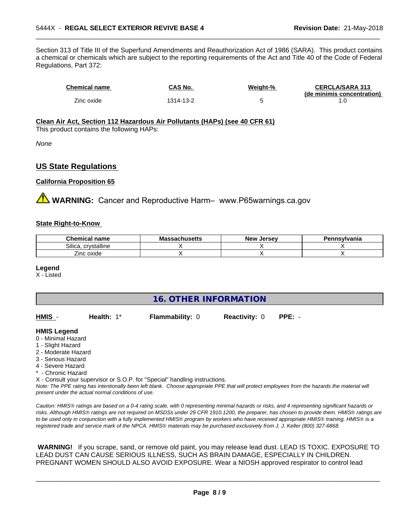Section 313 of Title III of the Superfund Amendments and Reauthorization Act of 1986 (SARA). This product contains a chemical or chemicals which are subject to the reporting requirements of the Act and Title 40 of the Code of Federal Regulations, Part 372:

| <b>Chemical name</b> | CAS No.   | Weight-% | <b>CERCLA/SARA 313</b><br>(de minimis concentration) |
|----------------------|-----------|----------|------------------------------------------------------|
| Zinc oxide           | 1314-13-2 |          |                                                      |

 $\overline{\phantom{a}}$  ,  $\overline{\phantom{a}}$  ,  $\overline{\phantom{a}}$  ,  $\overline{\phantom{a}}$  ,  $\overline{\phantom{a}}$  ,  $\overline{\phantom{a}}$  ,  $\overline{\phantom{a}}$  ,  $\overline{\phantom{a}}$  ,  $\overline{\phantom{a}}$  ,  $\overline{\phantom{a}}$  ,  $\overline{\phantom{a}}$  ,  $\overline{\phantom{a}}$  ,  $\overline{\phantom{a}}$  ,  $\overline{\phantom{a}}$  ,  $\overline{\phantom{a}}$  ,  $\overline{\phantom{a}}$ 

# **Clean Air Act,Section 112 Hazardous Air Pollutants (HAPs) (see 40 CFR 61)**

This product contains the following HAPs:

*None*

# **US State Regulations**

### **California Proposition 65**

**WARNING:** Cancer and Reproductive Harm– www.P65warnings.ca.gov

### **State Right-to-Know**

| Chemical<br>name           | . .<br>המח<br>achusetts<br>rua: | <b>Jersev</b><br><b>New</b> | Pennsvlvania |
|----------------------------|---------------------------------|-----------------------------|--------------|
| Silica<br>.<br>crvstalline |                                 |                             |              |
| --<br>Zinc oxide           |                                 |                             |              |

#### **Legend**

X - Listed

# **16. OTHER INFORMATION**

| HMIS<br><b>Health:</b> 1*<br><b>Flammability: 0</b><br><b>Reactivity: 0</b><br>PPE: - |  |
|---------------------------------------------------------------------------------------|--|
|---------------------------------------------------------------------------------------|--|

### **HMIS Legend**

- 0 Minimal Hazard
- 1 Slight Hazard
- 2 Moderate Hazard
- 3 Serious Hazard
- 4 Severe Hazard
- Chronic Hazard
- X Consult your supervisor or S.O.P. for "Special" handling instructions.

*Note: The PPE rating has intentionally been left blank. Choose appropriate PPE that will protect employees from the hazards the material will present under the actual normal conditions of use.*

*Caution: HMISÒ ratings are based on a 0-4 rating scale, with 0 representing minimal hazards or risks, and 4 representing significant hazards or risks. Although HMISÒ ratings are not required on MSDSs under 29 CFR 1910.1200, the preparer, has chosen to provide them. HMISÒ ratings are to be used only in conjunction with a fully implemented HMISÒ program by workers who have received appropriate HMISÒ training. HMISÒ is a registered trade and service mark of the NPCA. HMISÒ materials may be purchased exclusively from J. J. Keller (800) 327-6868.*

 **WARNING!** If you scrape, sand, or remove old paint, you may release lead dust. LEAD IS TOXIC. EXPOSURE TO LEAD DUST CAN CAUSE SERIOUS ILLNESS, SUCH AS BRAIN DAMAGE, ESPECIALLY IN CHILDREN. PREGNANT WOMEN SHOULD ALSO AVOID EXPOSURE.Wear a NIOSH approved respirator to control lead